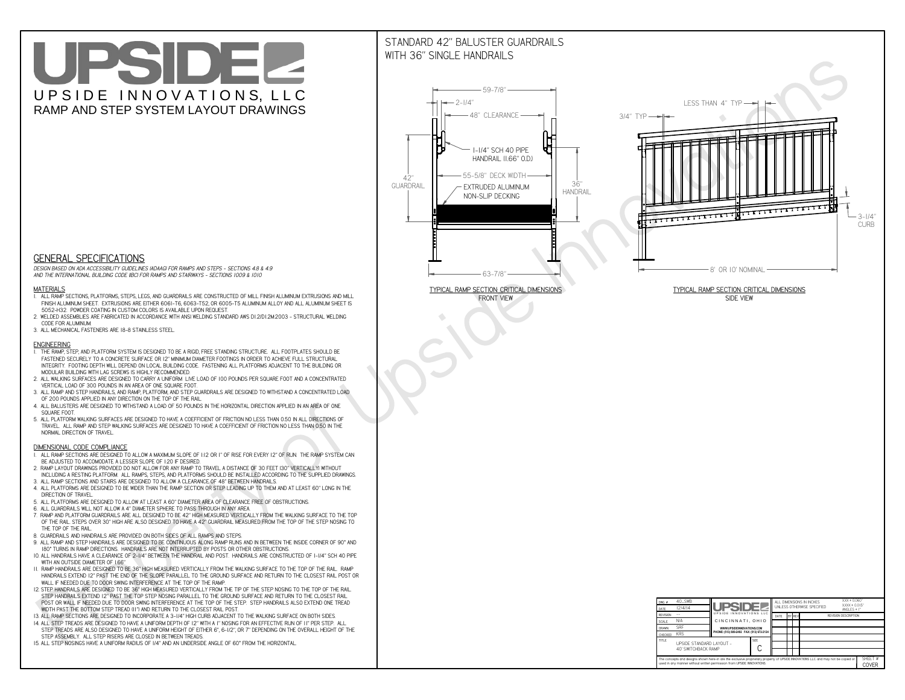# UPSIDEL UPSIDE INNOVATIONS, LLC RAMP AND STEP SYSTEM LAYOUT DRAWINGS

## STANDARD 42" BALUSTER GUARDRAILSWITH 36" SINGLE HANDRAILS

**FRONT VIEW**





**GENERAL SPECIFICATIONS**

 *DESIGN BASED ON ADA ACCESSIBILITY GUIDELINES (ADAAG) FOR RAMPS AND STEPS - SECTIONS 4.8 & 4.9AND THE INTERNATIONAL BUILDING CODE (IBC) FOR RAMPS AND STAIRWAYS - SECTIONS 1009 & 1010*

#### **MATERIALS**

- **1. ALL RAMP SECTIONS, PLATFORMS, STEPS, LEGS, AND GUARDRAILS ARE CONSTRUCTED OF MILL FINISH ALUMINUM EXTRUSIONS AND MILL FINISH ALUMINUM SHEET. EXTRUSIONS ARE EITHER 6061-T6, 6063-T52, OR 6005-T5 ALUMINUM ALLOY AND ALL ALUMINUM SHEET IS 5052-H32. POWDER COATING IN CUSTOM COLORS IS AVAILABLE UPON REQUEST.**
- **2. WELDED ASSEMBLIES ARE FABRICATED IN ACCORDANCE WITH ANSI WELDING STANDARD AWS D1.2/D1.2M:2003 STRUCTURAL WELDING CODE FOR ALUMINUM.**
- **3. ALL MECHANICAL FASTENERS ARE 18-8 STAINLESS STEEL.**

#### **ENGINEERING**

- **1. THE RAMP, STEP, AND PLATFORM SYSTEM IS DESIGNED TO BE A RIGID, FREE STANDING STRUCTURE. ALL FOOTPLATES SHOULD BE FASTENED SECURELY TO A CONCRETE SURFACE OR 12" MINIMUM DIAMETER FOOTINGS IN ORDER TO ACHIEVE FULL STRUCTURAL INTEGRITY. FOOTING DEPTH WILL DEPEND ON LOCAL BUILDING CODE. FASTENING ALL PLATFORMS ADJACENT TO THE BUILDING OR MODULAR BUILDING WITH LAG SCREWS IS HIGHLY RECOMMENDED.**
- **2. ALL WALKING SURFACES ARE DESIGNED TO CARRY A UNIFORM LIVE LOAD OF 100 POUNDS PER SQUARE FOOT AND A CONCENTRATED VERTICAL LOAD OF 300 POUNDS IN AN AREA OF ONE SQUARE FOOT.**
- **3. ALL RAMP AND STEP HANDRAILS, AND RAMP, PLATFORM, AND STEP GUARDRAILS ARE DESIGNED TO WITHSTAND A CONCENTRATED LOAD OF 200 POUNDS APPLIED IN ANY DIRECTION ON THE TOP OF THE RAIL.**
- **4. ALL BALUSTERS ARE DESIGNED TO WITHSTAND A LOAD OF 50 POUNDS IN THE HORIZONTAL DIRECTION APPLIED IN AN AREA OF ONE SQUARE FOOT.**
- **5. ALL PLATFORM WALKING SURFACES ARE DESIGNED TO HAVE A COEFFICIENT OF FRICTION NO LESS THAN 0.50 IN ALL DIRECTIONS OF TRAVEL. ALL RAMP AND STEP WALKING SURFACES ARE DESIGNED TO HAVE A COEFFICIENT OF FRICTION NO LESS THAN 0.50 IN THE NORMAL DIRECTION OF TRAVEL.**

| $DWG.$ #<br>DATE                                                                                                                                                                                            | $40$ _SWB<br>12/4/14                            | UPSIDEL                                   |             | ALL DIMENSIONS IN INCHES<br>UNI FSS OTHERWISE SPECIFIED |  |               |                             | $XXX = 0.060"$<br>$XXX \pm 0.015$ "<br>ANGLES $\pm$ 1° |                  |
|-------------------------------------------------------------------------------------------------------------------------------------------------------------------------------------------------------------|-------------------------------------------------|-------------------------------------------|-------------|---------------------------------------------------------|--|---------------|-----------------------------|--------------------------------------------------------|------------------|
| <b>REVISION</b>                                                                                                                                                                                             |                                                 | UPSIDE INNOVATIONS LLC                    |             | DATE                                                    |  | <b>BY REV</b> | <b>REVISION DESCRIPTION</b> |                                                        |                  |
| <b>SCALE</b>                                                                                                                                                                                                | N/A                                             | CINCINNATI, OHIO                          |             |                                                         |  |               |                             |                                                        |                  |
| <b>DRAWN</b>                                                                                                                                                                                                | <b>SRF</b>                                      | WWW.UPSIDEINNOVATIONS.COM                 |             |                                                         |  |               |                             |                                                        |                  |
| CHECKED                                                                                                                                                                                                     | <b>KRS</b>                                      | PHONE: (513) 889-2492 FAX: (513) 672-2124 |             |                                                         |  |               |                             |                                                        |                  |
| <b>TITLE</b>                                                                                                                                                                                                | UPSIDE STANDARD LAYOUT -<br>40' SWITCHBACK RAMP |                                           | <b>SIZE</b> |                                                         |  |               |                             |                                                        |                  |
| The concepts and designs shown here-in are the exclusive proprietary property of UPSIDE INNOVATIONS LLC. and may not be copied or<br>used in any manner without written permission from UPSIDE INNOVATIONS. |                                                 |                                           |             |                                                         |  |               |                             |                                                        | SHEET #<br>COVER |

### **DIMENSIONAL CODE COMPLIANCE**

- **1. ALL RAMP SECTIONS ARE DESIGNED TO ALLOW A MAXIMUM SLOPE OF 1:12 OR 1" OF RISE FOR EVERY 12" OF RUN. THE RAMP SYSTEM CAN BE ADJUSTED TO ACCOMODATE A LESSER SLOPE OF 1:20 IF DESIRED.**
- **2. RAMP LAYOUT DRAWINGS PROVIDED DO NOT ALLOW FOR ANY RAMP TO TRAVEL A DISTANCE OF 30 FEET (30" VERTICALLY) WITHOUT INCLUDING A RESTING PLATFORM. ALL RAMPS, STEPS, AND PLATFORMS SHOULD BE INSTALLED ACCORDING TO THE SUPPLIED DRAWINGS.**
- **3. ALL RAMP SECTIONS AND STAIRS ARE DESIGNED TO ALLOW A CLEARANCE OF 48" BETWEEN HANDRAILS.**
- **4. ALL PLATFORMS ARE DESIGNED TO BE WIDER THAN THE RAMP SECTION OR STEP LEADING UP TO THEM AND AT LEAST 60" LONG IN THE DIRECTION OF TRAVEL.**
- **5. ALL PLATFORMS ARE DESIGNED TO ALLOW AT LEAST A 60" DIAMETER AREA OF CLEARANCE FREE OF OBSTRUCTIONS.**
- **6. ALL GUARDRAILS WILL NOT ALLOW A 4" DIAMETER SPHERE TO PASS THROUGH IN ANY AREA.**
- **7. RAMP AND PLATFORM GUARDRAILS ARE ALL DESIGNED TO BE 42" HIGH MEASURED VERTICALLY FROM THE WALKING SURFACE TO THE TOP OF THE RAIL. STEPS OVER 30" HIGH ARE ALSO DESIGNED TO HAVE A 42" GUARDRAIL MEASURED FROM THE TOP OF THE STEP NOSING TO THE TOP OF THE RAIL.**
- **8. GUARDRAILS AND HANDRAILS ARE PROVIDED ON BOTH SIDES OF ALL RAMPS AND STEPS.**
- **9. ALL RAMP AND STEP HANDRAILS ARE DESIGNED TO BE CONTINUOUS ALONG RAMP RUNS AND IN BETWEEN THE INSIDE CORNER OF 90° AND 180° TURNS IN RAMP DIRECTIONS. HANDRAILS ARE NOT INTERRUPTED BY POSTS OR OTHER OBSTRUCTIONS.**
- **10. ALL HANDRAILS HAVE A CLEARANCE OF 2-1/4" BETWEEN THE HANDRAIL AND POST. HANDRAILS ARE CONSTRUCTED OF 1-1/4" SCH 40 PIPE WITH AN OUTSIDE DIAMETER OF 1.66"**
- **11. RAMP HANDRAILS ARE DESIGNED TO BE 36" HIGH MEASURED VERTICALLY FROM THE WALKING SURFACE TO THE TOP OF THE RAIL. RAMP HANDRAILS EXTEND 12" PAST THE END OF THE SLOPE PARALLEL TO THE GROUND SURFACE AND RETURN TO THE CLOSEST RAIL POST OR WALL IF NEEDED DUE TO DOOR SWING INTERFERENCE AT THE TOP OF THE RAMP.**
- **12. STEP HANDRAILS ARE DESIGNED TO BE 36" HIGH MEASURED VERTICALLY FROM THE TIP OF THE STEP NOSING TO THE TOP OF THE RAIL. STEP HANDRAILS EXTEND 12" PAST THE TOP STEP NOSING PARALLEL TO THE GROUND SURFACE AND RETURN TO THE CLOSEST RAIL POST OR WALL IF NEEDED DUE TO DOOR SWING INTERFERENCE AT THE TOP OF THE STEP. STEP HANDRAILS ALSO EXTEND ONE TREAD**
- **WIDTH PAST THE BOTTOM STEP TREAD (11") AND RETURN TO THE CLOSEST RAIL POST.**
- **13. ALL RAMP SECTIONS ARE DESIGNED TO INCORPORATE A 3-1/4" HIGH CURB ADJACENT TO THE WALKING SURFACE ON BOTH SIDES.**
- **14. ALL STEP TREADS ARE DESIGNED TO HAVE A UNIFORM DEPTH OF 12" WITH A 1" NOSING FOR AN EFFECTIVE RUN OF 11" PER STEP. ALL STEP TREADS ARE ALSO DESIGNED TO HAVE A UNIFORM HEIGHT OF EITHER 6", 6-1/2", OR 7" DEPENDING ON THE OVERALL HEIGHT OF THE STEP ASSEMBLY. ALL STEP RISERS ARE CLOSED IN BETWEEN TREADS.**
- **15. ALL STEP NOSINGS HAVE A UNIFORM RADIUS OF 1/4" AND AN UNDERSIDE ANGLE OF 60° FROM THE HORIZONTAL.**